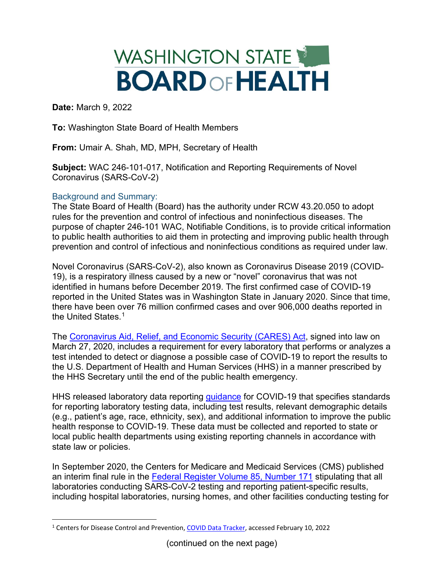## WASHINGTON STATE **BOARD OF HEALTH**

**Date:** March 9, 2022

**To:** Washington State Board of Health Members

**From:** Umair A. Shah, MD, MPH, Secretary of Health

**Subject:** WAC 246-101-017, Notification and Reporting Requirements of Novel Coronavirus (SARS-CoV-2)

## Background and Summary:

The State Board of Health (Board) has the authority under RCW 43.20.050 to adopt rules for the prevention and control of infectious and noninfectious diseases. The purpose of chapter 246-101 WAC, Notifiable Conditions, is to provide critical information to public health authorities to aid them in protecting and improving public health through prevention and control of infectious and noninfectious conditions as required under law.

Novel Coronavirus (SARS-CoV-2), also known as Coronavirus Disease 2019 (COVID-19), is a respiratory illness caused by a new or "novel" coronavirus that was not identified in humans before December 2019. The first confirmed case of COVID-19 reported in the United States was in Washington State in January 2020. Since that time, there have been over 76 million confirmed cases and over 906,000 deaths reported in the United States.<sup>[1](#page-0-0)</sup>

The [Coronavirus Aid, Relief, and Economic Security \(CARES\) Act,](https://www.congress.gov/bill/116th-congress/house-bill/748) signed into law on March 27, 2020, includes a requirement for every laboratory that performs or analyzes a test intended to detect or diagnose a possible case of COVID-19 to report the results to the U.S. Department of Health and Human Services (HHS) in a manner prescribed by the HHS Secretary until the end of the public health emergency.

HHS released laboratory data reporting [guidance](https://www.hhs.gov/sites/default/files/covid-19-laboratory-data-reporting-guidance.pdf) for COVID-19 that specifies standards for reporting laboratory testing data, including test results, relevant demographic details (e.g., patient's age, race, ethnicity, sex), and additional information to improve the public health response to COVID-19. These data must be collected and reported to state or local public health departments using existing reporting channels in accordance with state law or policies.

In September 2020, the Centers for Medicare and Medicaid Services (CMS) published an interim final rule in the [Federal Register Volume 85, Number 171](https://www.govinfo.gov/content/pkg/FR-2020-09-02/pdf/2020-19150.pdf) stipulating that all laboratories conducting SARS-CoV-2 testing and reporting patient-specific results, including hospital laboratories, nursing homes, and other facilities conducting testing for

<span id="page-0-0"></span><sup>1</sup> Centers for Disease Control and Prevention, [COVID Data Tracker,](https://covid.cdc.gov/covid-data-tracker/#cases_casesinlast7days) accessed February 10, 2022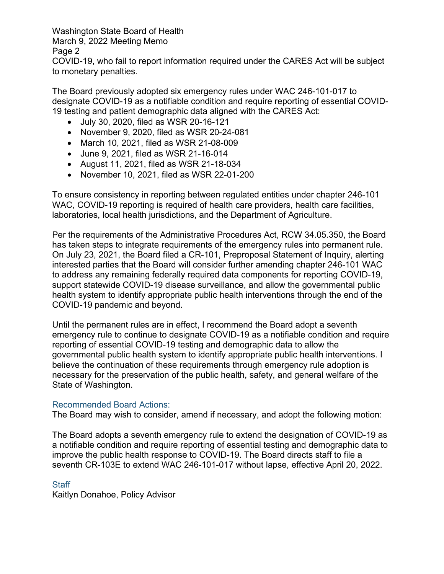Washington State Board of Health

March 9, 2022 Meeting Memo

Page 2

COVID-19, who fail to report information required under the CARES Act will be subject to monetary penalties.

The Board previously adopted six emergency rules under WAC 246-101-017 to designate COVID-19 as a notifiable condition and require reporting of essential COVID-19 testing and patient demographic data aligned with the CARES Act:

- July 30, 2020, filed as WSR 20-16-121
- November 9, 2020, filed as WSR 20-24-081
- March 10, 2021, filed as WSR 21-08-009
- June 9, 2021, filed as WSR 21-16-014
- August 11, 2021, filed as WSR 21-18-034
- November 10, 2021, filed as WSR 22-01-200

To ensure consistency in reporting between regulated entities under chapter 246-101 WAC, COVID-19 reporting is required of health care providers, health care facilities, laboratories, local health jurisdictions, and the Department of Agriculture.

Per the requirements of the Administrative Procedures Act, RCW 34.05.350, the Board has taken steps to integrate requirements of the emergency rules into permanent rule. On July 23, 2021, the Board filed a CR-101, Preproposal Statement of Inquiry, alerting interested parties that the Board will consider further amending chapter 246-101 WAC to address any remaining federally required data components for reporting COVID-19, support statewide COVID-19 disease surveillance, and allow the governmental public health system to identify appropriate public health interventions through the end of the COVID-19 pandemic and beyond.

Until the permanent rules are in effect, I recommend the Board adopt a seventh emergency rule to continue to designate COVID-19 as a notifiable condition and require reporting of essential COVID-19 testing and demographic data to allow the governmental public health system to identify appropriate public health interventions. I believe the continuation of these requirements through emergency rule adoption is necessary for the preservation of the public health, safety, and general welfare of the State of Washington.

## Recommended Board Actions:

The Board may wish to consider, amend if necessary, and adopt the following motion:

The Board adopts a seventh emergency rule to extend the designation of COVID-19 as a notifiable condition and require reporting of essential testing and demographic data to improve the public health response to COVID-19. The Board directs staff to file a seventh CR-103E to extend WAC 246-101-017 without lapse, effective April 20, 2022.

## **Staff**

Kaitlyn Donahoe, Policy Advisor